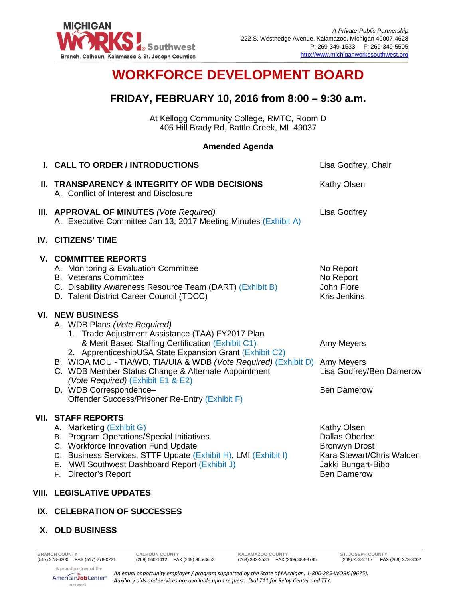

# **WORKFORCE DEVELOPMENT BOARD**

## **FRIDAY, FEBRUARY 10, 2016 from 8:00 – 9:30 a.m.**

At Kellogg Community College, RMTC, Room D 405 Hill Brady Rd, Battle Creek, MI 49037

#### **Amended Agenda**

| I. CALL TO ORDER / INTRODUCTIONS                                                                                                                                                                                                                                                                                                                                                                                                                                                  | Lisa Godfrey, Chair                                                                                                                   |
|-----------------------------------------------------------------------------------------------------------------------------------------------------------------------------------------------------------------------------------------------------------------------------------------------------------------------------------------------------------------------------------------------------------------------------------------------------------------------------------|---------------------------------------------------------------------------------------------------------------------------------------|
| II. TRANSPARENCY & INTEGRITY OF WDB DECISIONS<br>A. Conflict of Interest and Disclosure                                                                                                                                                                                                                                                                                                                                                                                           | <b>Kathy Olsen</b>                                                                                                                    |
| <b>III. APPROVAL OF MINUTES (Vote Required)</b><br>A. Executive Committee Jan 13, 2017 Meeting Minutes (Exhibit A)                                                                                                                                                                                                                                                                                                                                                                | Lisa Godfrey                                                                                                                          |
| <b>IV. CITIZENS' TIME</b>                                                                                                                                                                                                                                                                                                                                                                                                                                                         |                                                                                                                                       |
| <b>V. COMMITTEE REPORTS</b><br>A. Monitoring & Evaluation Committee<br><b>B.</b> Veterans Committee<br>C. Disability Awareness Resource Team (DART) (Exhibit B)<br>D. Talent District Career Council (TDCC)                                                                                                                                                                                                                                                                       | No Report<br>No Report<br>John Fiore<br><b>Kris Jenkins</b>                                                                           |
| <b>VI. NEW BUSINESS</b><br>A. WDB Plans (Vote Required)<br>1. Trade Adjustment Assistance (TAA) FY2017 Plan<br>& Merit Based Staffing Certification (Exhibit C1)<br>2. ApprenticeshipUSA State Expansion Grant (Exhibit C2)<br>B. WIOA MOU - TIA/WD, TIA/UIA & WDB (Vote Required) (Exhibit D) Amy Meyers<br>C. WDB Member Status Change & Alternate Appointment<br>(Vote Required) (Exhibit E1 & E2)<br>D. WDB Correspondence-<br>Offender Success/Prisoner Re-Entry (Exhibit F) | Amy Meyers<br>Lisa Godfrey/Ben Damerow<br><b>Ben Damerow</b>                                                                          |
| <b>VII. STAFF REPORTS</b><br>A. Marketing (Exhibit G)<br>B. Program Operations/Special Initiatives<br>C. Workforce Innovation Fund Update<br>D. Business Services, STTF Update (Exhibit H), LMI (Exhibit I)<br>E. MW! Southwest Dashboard Report (Exhibit J)<br>F. Director's Report                                                                                                                                                                                              | Kathy Olsen<br><b>Dallas Oberlee</b><br><b>Bronwyn Drost</b><br>Kara Stewart/Chris Walden<br>Jakki Bungart-Bibb<br><b>Ben Damerow</b> |
| <b>VIII. LEGISLATIVE UPDATES</b>                                                                                                                                                                                                                                                                                                                                                                                                                                                  |                                                                                                                                       |

### **IX. CELEBRATION OF SUCCESSES**

#### **X. OLD BUSINESS**

*An equal opportunity employer / program supported by the State of Michigan. 1-800-285-WORK (9675). Auxiliary aids and services are available upon request. Dial 711 for Relay Center and TTY.*